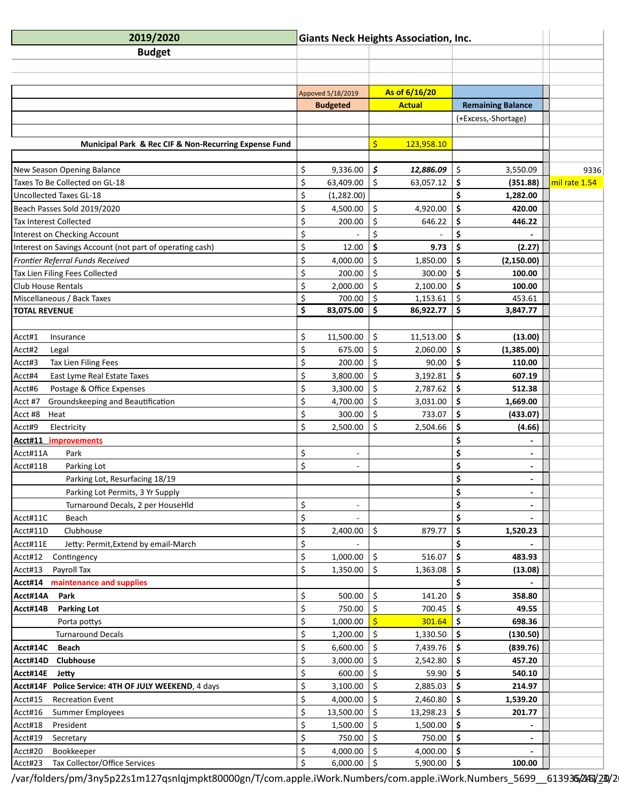| 2019/2020                                                | <b>Giants Neck Heights Association, Inc.</b> |                   |                    |               |                      |                          |               |
|----------------------------------------------------------|----------------------------------------------|-------------------|--------------------|---------------|----------------------|--------------------------|---------------|
| <b>Budget</b>                                            |                                              |                   |                    |               |                      |                          |               |
|                                                          |                                              |                   |                    |               |                      |                          |               |
|                                                          |                                              |                   |                    |               |                      |                          |               |
|                                                          |                                              | Appoved 5/18/2019 |                    | As of 6/16/20 |                      |                          |               |
|                                                          |                                              | <b>Budgeted</b>   |                    | <b>Actual</b> |                      | <b>Remaining Balance</b> |               |
|                                                          |                                              |                   |                    |               |                      | (+Excess,-Shortage)      |               |
|                                                          |                                              |                   |                    |               |                      |                          |               |
| Municipal Park & Rec CIF & Non-Recurring Expense Fund    |                                              |                   | \$                 | 123,958.10    |                      |                          |               |
|                                                          |                                              |                   |                    |               |                      |                          |               |
| New Season Opening Balance                               | \$                                           | 9,336.00          | \$                 | 12,886.09     | \$                   | 3,550.09                 | 9336          |
| Taxes To Be Collected on GL-18                           | \$                                           | 63,409.00         | $\zeta$            | 63,057.12     | \$                   | (351.88)                 | mil rate 1.54 |
| <b>Uncollected Taxes GL-18</b>                           | \$                                           | (1,282.00)        |                    |               | \$                   | 1,282.00                 |               |
| Beach Passes Sold 2019/2020                              | \$                                           | 4,500.00          | $\zeta$            | 4,920.00      | \$                   | 420.00                   |               |
| Tax Interest Collected                                   | \$                                           | 200.00            | \$                 | 646.22        | \$                   | 446.22                   |               |
| Interest on Checking Account                             | \$                                           |                   | Ś.                 |               | \$                   |                          |               |
| Interest on Savings Account (not part of operating cash) | \$                                           | 12.00             | \$                 | 9.73          | \$                   | (2.27)                   |               |
| Frontier Referral Funds Received                         | \$                                           | 4,000.00          | \$                 | 1,850.00      | \$                   | (2, 150.00)              |               |
| Tax Lien Filing Fees Collected                           | \$                                           | 200.00            | $\zeta$            | 300.00        | \$                   | 100.00                   |               |
| Club House Rentals                                       | \$                                           | 2,000.00          | \$                 | 2,100.00      | \$                   | 100.00                   |               |
| Miscellaneous / Back Taxes                               | \$                                           | 700.00            | $\zeta$            | 1,153.61      | $\zeta$              | 453.61                   |               |
| <b>TOTAL REVENUE</b>                                     | \$                                           | 83,075.00         | \$                 | 86,922.77     | \$                   | 3,847.77                 |               |
|                                                          |                                              |                   |                    |               |                      |                          |               |
| Acct#1<br>Insurance                                      | \$                                           | 11,500.00         | \$                 | 11,513.00     | \$                   | (13.00)                  |               |
| Acct#2<br>Legal                                          | \$                                           | 675.00            | \$                 | 2,060.00      | \$                   | (1,385.00)               |               |
| Acct#3<br>Tax Lien Filing Fees                           | \$                                           | 200.00            | $\zeta$            | 90.00         | \$                   | 110.00                   |               |
| East Lyme Real Estate Taxes<br>Acct#4                    | \$                                           | 3,800.00          | \$                 | 3,192.81      | \$                   | 607.19                   |               |
| Postage & Office Expenses<br>Acct#6                      | $\mathsf{\dot{S}}$                           | 3,300.00          | $\mathsf{\dot{S}}$ | 2,787.62      | $\mathsf{\hat{S}}$   | 512.38                   |               |
| Groundskeeping and Beautification                        | \$                                           | 4,700.00          | $\zeta$            | 3,031.00      | $\boldsymbol{\zeta}$ | 1,669.00                 |               |
| Acct #7                                                  |                                              |                   |                    |               |                      |                          |               |
| Acct #8<br>Heat                                          | \$                                           | 300.00            | \$                 | 733.07        | \$                   | (433.07)                 |               |
| Acct#9<br>Electricity                                    | \$                                           | 2,500.00          | \$                 | 2,504.66      | \$                   | (4.66)                   |               |
| <b>Acct#11 improvements</b>                              |                                              |                   |                    |               | \$                   |                          |               |
| Acct#11A<br>Park                                         | \$                                           |                   |                    |               | \$                   |                          |               |
| Acct#11B<br>Parking Lot                                  | \$                                           |                   |                    |               | \$                   |                          |               |
| Parking Lot, Resurfacing 18/19                           |                                              |                   |                    |               | \$                   |                          |               |
| Parking Lot Permits, 3 Yr Supply                         |                                              |                   |                    |               | \$                   | $\overline{a}$           |               |
| Turnaround Decals, 2 per HouseHld                        | \$                                           |                   |                    |               | \$                   |                          |               |
| Acct#11C<br>Beach                                        | \$                                           |                   |                    |               | \$                   |                          |               |
| Acct#11D<br>Clubhouse                                    | \$                                           | 2,400.00          | \$                 | 879.77        | \$                   | 1,520.23                 |               |
| Jetty: Permit, Extend by email-March<br>Acct#11E         | \$                                           |                   |                    |               | \$                   |                          |               |
| Acct#12<br>Contingency                                   | \$                                           | 1,000.00          | $\zeta$            | 516.07        | \$                   | 483.93                   |               |
| Payroll Tax<br>Acct#13                                   | \$                                           | 1,350.00          | \$                 | 1,363.08      | \$                   | (13.08)                  |               |
| maintenance and supplies<br>Acct#14                      |                                              |                   |                    |               |                      |                          |               |
| Acct#14A<br>Park                                         | \$                                           | 500.00            | $\zeta$            | 141.20        | \$                   | 358.80                   |               |
| Acct#14B<br><b>Parking Lot</b>                           | \$                                           | 750.00            | \$                 | 700.45        | \$                   | 49.55                    |               |
| Porta pottys                                             | \$                                           | 1,000.00          |                    | 301.64        | \$                   | 698.36                   |               |
| <b>Turnaround Decals</b>                                 | \$                                           | 1,200.00          | $\zeta$            | 1,330.50      | \$                   | (130.50)                 |               |
| Acct#14C<br><b>Beach</b>                                 | \$                                           | 6,600.00          | \$                 | 7,439.76      | \$                   | (839.76)                 |               |
| Acct#14D<br>Clubhouse                                    | \$                                           | 3,000.00          | \$                 | 2,542.80      | \$                   | 457.20                   |               |
| Acct#14E<br>Jetty                                        | \$                                           | 600.00            | $\zeta$            | 59.90         | \$                   | 540.10                   |               |
| Acct#14F Police Service: 4TH OF JULY WEEKEND, 4 days     | \$                                           | 3,100.00          | \$                 | 2,885.03      | \$                   | 214.97                   |               |
| Acct#15<br><b>Recreation Event</b>                       | \$                                           | 4,000.00          | \$                 | 2,460.80      | \$                   | 1,539.20                 |               |
| Acct#16<br><b>Summer Employees</b>                       | \$                                           | 13,500.00         | $\zeta$            | 13,298.23     | \$                   | 201.77                   |               |
| Acct#18<br>President                                     | \$                                           | 1,500.00          | \$                 | 1,500.00      | \$                   |                          |               |
| Acct#19<br>Secretary                                     | \$                                           | 750.00            | Ś                  | 750.00        | \$                   |                          |               |
| Acct#20<br>Bookkeeper                                    | \$                                           | 4,000.00          | $\zeta$            | 4,000.00      | $\boldsymbol{\zeta}$ |                          |               |
| Tax Collector/Office Services<br>Acct#23                 | \$                                           | $6,000.00$   \$   |                    | 5,900.00   \$ |                      | 100.00                   |               |

/var/folders/pm/3ny5p22s1m127qsnlqjmpkt80000gn/T/com.apple.iWork.Numbers/com.apple.iWork.Numbers\_5699\_\_613935/245V23V2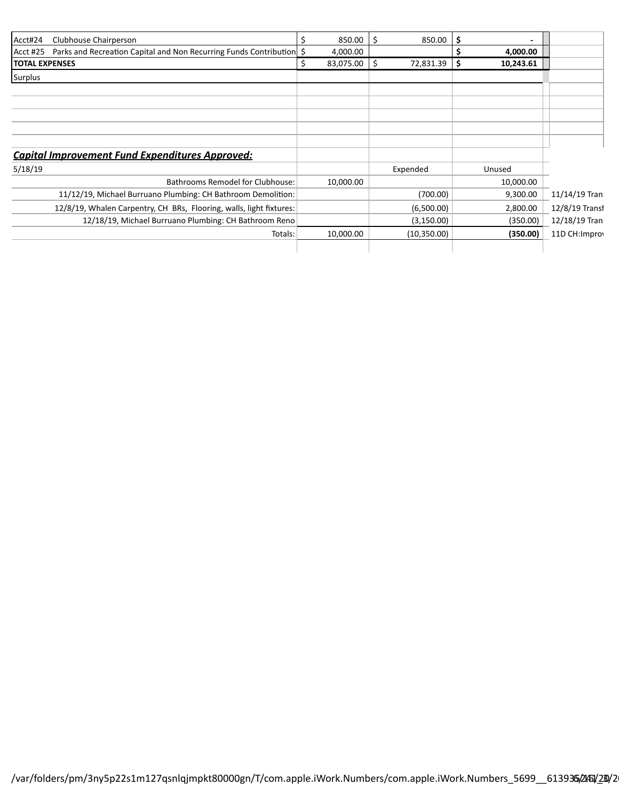| Acct#24<br>Clubhouse Chairperson                                                 | 850.00    | Ŝ.<br>850.00    | \$              |                 |
|----------------------------------------------------------------------------------|-----------|-----------------|-----------------|-----------------|
| Parks and Recreation Capital and Non Recurring Funds Contribution \$<br>Acct #25 | 4,000.00  |                 | 4,000.00        |                 |
| <b>TOTAL EXPENSES</b>                                                            | 83,075.00 | 72,831.39<br>S. | \$<br>10,243.61 |                 |
| Surplus                                                                          |           |                 |                 |                 |
|                                                                                  |           |                 |                 |                 |
|                                                                                  |           |                 |                 |                 |
|                                                                                  |           |                 |                 |                 |
|                                                                                  |           |                 |                 |                 |
|                                                                                  |           |                 |                 |                 |
| <b>Capital Improvement Fund Expenditures Approved:</b>                           |           |                 |                 |                 |
| 5/18/19                                                                          |           | Expended        | Unused          |                 |
| <b>Bathrooms Remodel for Clubhouse:</b>                                          | 10,000.00 |                 | 10,000.00       |                 |
| 11/12/19, Michael Burruano Plumbing: CH Bathroom Demolition:                     |           | (700.00)        | 9,300.00        | $11/14/19$ Tran |
| 12/8/19, Whalen Carpentry, CH BRs, Flooring, walls, light fixtures:              |           | (6,500.00)      | 2,800.00        | 12/8/19 Transi  |
| 12/18/19, Michael Burruano Plumbing: CH Bathroom Reno                            |           | (3, 150.00)     | (350.00)        | 12/18/19 Tran   |
| Totals:                                                                          | 10,000.00 | (10, 350.00)    | (350.00)        | 11D CH: Improv  |
|                                                                                  |           |                 |                 |                 |